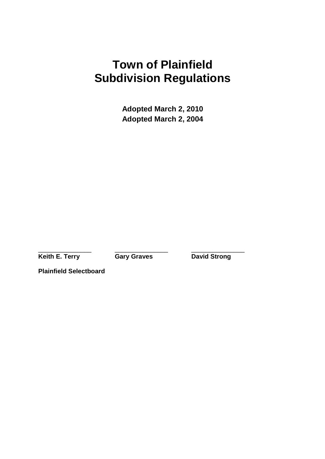# **Town of Plainfield Subdivision Regulations**

**Adopted March 2, 2010 Adopted March 2, 2004** 

\_\_\_\_\_\_\_\_\_\_\_\_\_\_\_ \_\_\_\_\_\_\_\_\_\_\_\_\_\_\_ \_\_\_\_\_\_\_\_\_\_\_\_\_\_\_

**Keith E. Terry Gary Graves Carl Bavid Strong** 

**Plainfield Selectboard**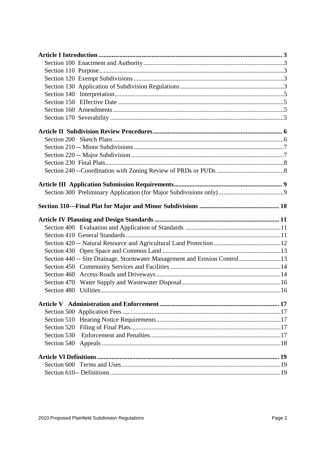| Section 440 -- Site Drainage, Stormwater Management and Erosion Control13 |  |
|---------------------------------------------------------------------------|--|
|                                                                           |  |
|                                                                           |  |
|                                                                           |  |
|                                                                           |  |
|                                                                           |  |
|                                                                           |  |
|                                                                           |  |
|                                                                           |  |
| Section 530                                                               |  |
|                                                                           |  |
|                                                                           |  |
|                                                                           |  |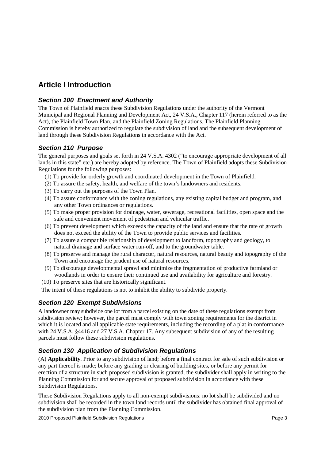# **Article I Introduction**

### **Section 100 Enactment and Authority**

The Town of Plainfield enacts these Subdivision Regulations under the authority of the Vermont Municipal and Regional Planning and Development Act, 24 V.S.A., Chapter 117 (herein referred to as the Act), the Plainfield Town Plan, and the Plainfield Zoning Regulations. The Plainfield Planning Commission is hereby authorized to regulate the subdivision of land and the subsequent development of land through these Subdivision Regulations in accordance with the Act.

### **Section 110 Purpose**

The general purposes and goals set forth in 24 V.S.A. 4302 ("to encourage appropriate development of all lands in this state" etc.) are hereby adopted by reference. The Town of Plainfield adopts these Subdivision Regulations for the following purposes:

- (1) To provide for orderly growth and coordinated development in the Town of Plainfield.
- (2) To assure the safety, health, and welfare of the town's landowners and residents.
- (3) To carry out the purposes of the Town Plan.
- (4) To assure conformance with the zoning regulations, any existing capital budget and program, and any other Town ordinances or regulations.
- (5) To make proper provision for drainage, water, sewerage, recreational facilities, open space and the safe and convenient movement of pedestrian and vehicular traffic.
- (6) To prevent development which exceeds the capacity of the land and ensure that the rate of growth does not exceed the ability of the Town to provide public services and facilities.
- (7) To assure a compatible relationship of development to landform, topography and geology, to natural drainage and surface water run-off, and to the groundwater table.
- (8) To preserve and manage the rural character, natural resources, natural beauty and topography of the Town and encourage the prudent use of natural resources.
- (9) To discourage developmental sprawl and minimize the fragmentation of productive farmland or woodlands in order to ensure their continued use and availability for agriculture and forestry.
- (10) To preserve sites that are historically significant.

The intent of these regulations is not to inhibit the ability to subdivide property.

### **Section 120 Exempt Subdivisions**

A landowner may subdivide one lot from a parcel existing on the date of these regulations exempt from subdivision review; however, the parcel must comply with town zoning requirements for the district in which it is located and all applicable state requirements, including the recording of a plat in conformance with 24 V.S.A. §4416 and 27 V.S.A. Chapter 17. Any subsequent subdivision of any of the resulting parcels must follow these subdivision regulations.

### **Section 130 Application of Subdivision Regulations**

(A) **Applicability**. Prior to any subdivision of land; before a final contract for sale of such subdivision or any part thereof is made; before any grading or clearing of building sites, or before any permit for erection of a structure in such proposed subdivision is granted, the subdivider shall apply in writing to the Planning Commission for and secure approval of proposed subdivision in accordance with these Subdivision Regulations.

These Subdivision Regulations apply to all non-exempt subdivisions: no lot shall be subdivided and no subdivision shall be recorded in the town land records until the subdivider has obtained final approval of the subdivision plan from the Planning Commission.

2010 Proposed Plainfield Subdivision Regulations Page 3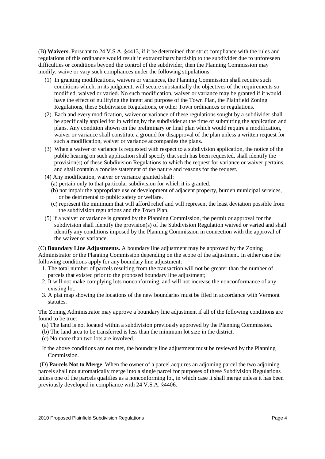(B) **Waivers.** Pursuant to 24 V.S.A. §4413, if it be determined that strict compliance with the rules and regulations of this ordinance would result in extraordinary hardship to the subdivider due to unforeseen difficulties or conditions beyond the control of the subdivider, then the Planning Commission may modify, waive or vary such compliances under the following stipulations:

- (1) In granting modifications, waivers or variances, the Planning Commission shall require such conditions which, in its judgment, will secure substantially the objectives of the requirements so modified, waived or varied. No such modification, waiver or variance may be granted if it would have the effect of nullifying the intent and purpose of the Town Plan, the Plainfield Zoning Regulations, these Subdivision Regulations, or other Town ordinances or regulations.
- (2) Each and every modification, waiver or variance of these regulations sought by a subdivider shall be specifically applied for in writing by the subdivider at the time of submitting the application and plans. Any condition shown on the preliminary or final plan which would require a modification, waiver or variance shall constitute a ground for disapproval of the plan unless a written request for such a modification, waiver or variance accompanies the plans.
- (3) When a waiver or variance is requested with respect to a subdivision application, the notice of the public hearing on such application shall specify that such has been requested, shall identify the provision(s) of these Subdivision Regulations to which the request for variance or waiver pertains, and shall contain a concise statement of the nature and reasons for the request.
- (4) Any modification, waiver or variance granted shall:
	- (a) pertain only to that particular subdivision for which it is granted.
	- (b) not impair the appropriate use or development of adjacent property, burden municipal services, or be detrimental to public safety or welfare.
	- (c) represent the minimum that will afford relief and will represent the least deviation possible from the subdivision regulations and the Town Plan.
- (5) If a waiver or variance is granted by the Planning Commission, the permit or approval for the subdivision shall identify the provision(s) of the Subdivision Regulation waived or varied and shall identify any conditions imposed by the Planning Commission in connection with the approval of the waiver or variance.

(C) **Boundary Line Adjustments.** A boundary line adjustment may be approved by the Zoning Administrator or the Planning Commission depending on the scope of the adjustment. In either case the following conditions apply for any boundary line adjustment:

- 1. The total number of parcels resulting from the transaction will not be greater than the number of parcels that existed prior to the proposed boundary line adjustment;
- 2. It will not make complying lots nonconforming, and will not increase the nonconformance of any existing lot.
- 3. A plat map showing the locations of the new boundaries must be filed in accordance with Vermont statutes.

The Zoning Administrator may approve a boundary line adjustment if all of the following conditions are found to be true:

- (a) The land is not located within a subdivision previously approved by the Planning Commission.
- (b) The land area to be transferred is less than the minimum lot size in the district.
- (c) No more than two lots are involved.
- If the above conditions are not met, the boundary line adjustment must be reviewed by the Planning Commission.

 (D) **Parcels Not to Merge**. When the owner of a parcel acquires an adjoining parcel the two adjoining parcels shall not automatically merge into a single parcel for purposes of these Subdivision Regulations unless one of the parcels qualifies as a nonconforming lot, in which case it shall merge unless it has been previously developed in compliance with 24 V.S.A. §4406.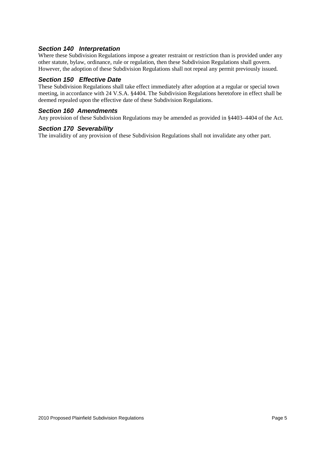#### **Section 140 Interpretation**

Where these Subdivision Regulations impose a greater restraint or restriction than is provided under any other statute, bylaw, ordinance, rule or regulation, then these Subdivision Regulations shall govern. However, the adoption of these Subdivision Regulations shall not repeal any permit previously issued.

#### **Section 150 Effective Date**

These Subdivision Regulations shall take effect immediately after adoption at a regular or special town meeting, in accordance with 24 V.S.A. §4404. The Subdivision Regulations heretofore in effect shall be deemed repealed upon the effective date of these Subdivision Regulations.

#### **Section 160 Amendments**

Any provision of these Subdivision Regulations may be amended as provided in §4403–4404 of the Act.

#### **Section 170 Severability**

The invalidity of any provision of these Subdivision Regulations shall not invalidate any other part.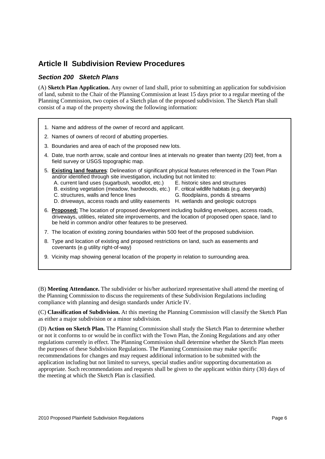# **Article II Subdivision Review Procedures**

#### **Section 200 Sketch Plans**

(A) **Sketch Plan Application.** Any owner of land shall, prior to submitting an application for subdivision of land, submit to the Chair of the Planning Commission at least 15 days prior to a regular meeting of the Planning Commission, two copies of a Sketch plan of the proposed subdivision. The Sketch Plan shall consist of a map of the property showing the following information:

- 1. Name and address of the owner of record and applicant.
- 2. Names of owners of record of abutting properties.
- 3. Boundaries and area of each of the proposed new lots.
- 4. Date, true north arrow, scale and contour lines at intervals no greater than twenty (20) feet, from a field survey or USGS topographic map.
- 5. **Existing land features**: Delineation of significant physical features referenced in the Town Plan and/or identified through site investigation, including but not limited to:
	- A. current land uses (sugarbush, woodlot, etc.) E. historic sites and structures
		-
	- B. existing vegetation (meadow, hardwoods, etc.) F. critical wildlife habitats (e.g. deeryards)
	- C. structures, walls and fence lines G. floodplains, ponds & streams
		-
	- D. driveways, access roads and utility easements H. wetlands and geologic outcrops
- 6. **Proposed:** The location of proposed development including building envelopes, access roads, driveways, utilities, related site improvements, and the location of proposed open space, land to be held in common and/or other features to be preserved.
- 7. The location of existing zoning boundaries within 500 feet of the proposed subdivision.
- 8. Type and location of existing and proposed restrictions on land, such as easements and covenants (e.g utility right-of-way)
- 9. Vicinity map showing general location of the property in relation to surrounding area.

(B) **Meeting Attendance.** The subdivider or his/her authorized representative shall attend the meeting of the Planning Commission to discuss the requirements of these Subdivision Regulations including compliance with planning and design standards under Article IV.

(C) **Classification of Subdivision.** At this meeting the Planning Commission will classify the Sketch Plan as either a major subdivision or a minor subdivision.

(D) **Action on Sketch Plan.** The Planning Commission shall study the Sketch Plan to determine whether or not it conforms to or would be in conflict with the Town Plan, the Zoning Regulations and any other regulations currently in effect. The Planning Commission shall determine whether the Sketch Plan meets the purposes of these Subdivision Regulations. The Planning Commission may make specific recommendations for changes and may request additional information to be submitted with the application including but not limited to surveys, special studies and/or supporting documentation as appropriate. Such recommendations and requests shall be given to the applicant within thirty (30) days of the meeting at which the Sketch Plan is classified.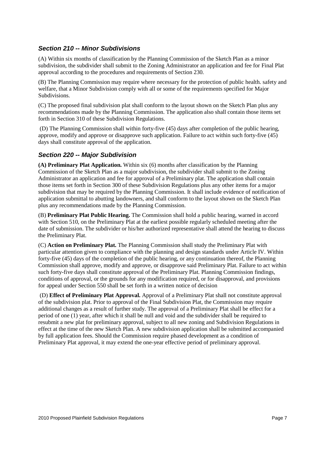#### **Section 210 -- Minor Subdivisions**

(A) Within six months of classification by the Planning Commission of the Sketch Plan as a minor subdivision, the subdivider shall submit to the Zoning Administrator an application and fee for Final Plat approval according to the procedures and requirements of Section 230.

(B) The Planning Commission may require where necessary for the protection of public health. safety and welfare, that a Minor Subdivision comply with all or some of the requirements specified for Major Subdivisions.

(C) The proposed final subdivision plat shall conform to the layout shown on the Sketch Plan plus any recommendations made by the Planning Commission. The application also shall contain those items set forth in Section 310 of these Subdivision Regulations.

 (D) The Planning Commission shall within forty-five (45) days after completion of the public hearing, approve, modify and approve or disapprove such application. Failure to act within such forty-five (45) days shall constitute approval of the application.

#### **Section 220 -- Major Subdivision**

**(A) Preliminary Plat Application.** Within six (6) months after classification by the Planning Commission of the Sketch Plan as a major subdivision, the subdivider shall submit to the Zoning Administrator an application and fee for approval of a Preliminary plat. The application shall contain those items set forth in Section 300 of these Subdivision Regulations plus any other items for a major subdivision that may be required by the Planning Commission. It shall include evidence of notification of application submittal to abutting landowners, and shall conform to the layout shown on the Sketch Plan plus any recommendations made by the Planning Commission.

(B) **Preliminary Plat Public Hearing.** The Commission shall hold a public hearing, warned in accord with Section 510, on the Preliminary Plat at the earliest possible regularly scheduled meeting after the date of submission. The subdivider or his/her authorized representative shall attend the hearing to discuss the Preliminary Plat.

(C) **Action on Preliminary Plat.** The Planning Commission shall study the Preliminary Plat with particular attention given to compliance with the planning and design standards under Article IV. Within forty-five (45) days of the completion of the public hearing, or any continuation thereof, the Planning Commission shall approve, modify and approve, or disapprove said Preliminary Plat. Failure to act within such forty-five days shall constitute approval of the Preliminary Plat. Planning Commission findings, conditions of approval, or the grounds for any modification required, or for disapproval, and provisions for appeal under Section 550 shall be set forth in a written notice of decision

 (D) **Effect of Preliminary Plat Approval.** Approval of a Preliminary Plat shall not constitute approval of the subdivision plat. Prior to approval of the Final Subdivision Plat, the Commission may require additional changes as a result of further study. The approval of a Preliminary Plat shall be effect for a period of one (1) year, after which it shall be null and void and the subdivider shall be required to resubmit a new plat for preliminary approval, subject to all new zoning and Subdivision Regulations in effect at the time of the new Sketch Plan. A new subdivision application shall be submitted accompanied by full application fees. Should the Commission require phased development as a condition of Preliminary Plat approval, it may extend the one-year effective period of preliminary approval.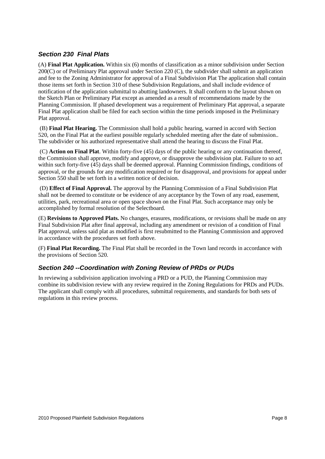#### **Section 230 Final Plats**

(A) **Final Plat Application.** Within six (6) months of classification as a minor subdivision under Section 200(C) or of Preliminary Plat approval under Section 220 (C), the subdivider shall submit an application and fee to the Zoning Administrator for approval of a Final Subdivision Plat The application shall contain those items set forth in Section 310 of these Subdivision Regulations, and shall include evidence of notification of the application submittal to abutting landowners. It shall conform to the layout shown on the Sketch Plan or Preliminary Plat except as amended as a result of recommendations made by the Planning Commission. If phased development was a requirement of Preliminary Plat approval, a separate Final Plat application shall be filed for each section within the time periods imposed in the Preliminary Plat approval.

 (B) **Final Plat Hearing.** The Commission shall hold a public hearing, warned in accord with Section 520, on the Final Plat at the earliest possible regularly scheduled meeting after the date of submission.. The subdivider or his authorized representative shall attend the hearing to discuss the Final Plat.

 (C) **Action on Final Plat**. Within forty-five (45) days of the public hearing or any continuation thereof, the Commission shall approve, modify and approve, or disapprove the subdivision plat. Failure to so act within such forty-five  $(45)$  days shall be deemed approval. Planning Commission findings, conditions of approval, or the grounds for any modification required or for disapproval, and provisions for appeal under Section 550 shall be set forth in a written notice of decision.

 (D) **Effect of Final Approval.** The approval by the Planning Commission of a Final Subdivision Plat shall not be deemed to constitute or be evidence of any acceptance by the Town of any road, easement, utilities, park, recreational area or open space shown on the Final Plat. Such acceptance may only be accomplished by formal resolution of the Selectboard.

(E) **Revisions to Approved Plats.** No changes, erasures, modifications, or revisions shall be made on any Final Subdivision Plat after final approval, including any amendment or revision of a condition of Final Plat approval, unless said plat as modified is first resubmitted to the Planning Commission and approved in accordance with the procedures set forth above.

(F) **Final Plat Recording.** The Final Plat shall be recorded in the Town land records in accordance with the provisions of Section 520.

#### **Section 240 --Coordination with Zoning Review of PRDs or PUDs**

In reviewing a subdivision application involving a PRD or a PUD, the Planning Commission may combine its subdivision review with any review required in the Zoning Regulations for PRDs and PUDs. The applicant shall comply with all procedures, submittal requirements, and standards for both sets of regulations in this review process.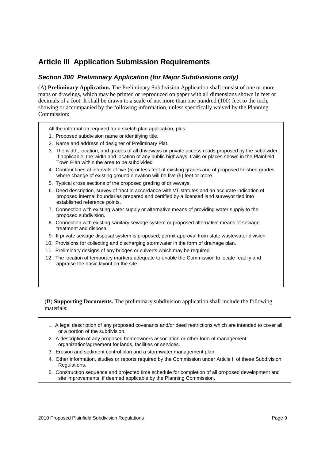# **Article III Application Submission Requirements**

### **Section 300 Preliminary Application (for Major Subdivisions only)**

(A) **Preliminary Application.** The Preliminary Subdivision Application shall consist of one or more maps or drawings, which may be printed or reproduced on paper with all dimensions shown in feet or decimals of a foot. It shall be drawn to a scale of not more than one hundred (100) feet to the inch, showing or accompanied by the following information, unless specifically waived by the Planning Commission:

- All the information required for a sketch plan application, plus:
- 1. Proposed subdivision name or identifying title.
- 2. Name and address of designer of Preliminary Plat.
- 3. The width, location, and grades of all driveways or private access roads proposed by the subdivider. If applicable, the width and location of any public highways, trails or places shown in the Plainfield Town Plan within the area to be subdivided
- 4. Contour lines at intervals of five (5) or less feet of existing grades and of proposed finished grades where change of existing ground elevation will be five (5) feet or more.
- 5. Typical cross sections of the proposed grading of driveways.
- 6. Deed description, survey of tract in accordance with VT statutes and an accurate indication of proposed internal boundaries prepared and certified by a licensed land surveyor tied into established reference points.
- 7. Connection with existing water supply or alternative means of providing water supply to the proposed subdivision.
- 8. Connection with existing sanitary sewage system or proposed alternative means of sewage treatment and disposal.
- 9. If private sewage disposal system is proposed, permit approval from state wastewater division.
- 10. Provisions for collecting and discharging stormwater in the form of drainage plan.
- 11. Preliminary designs of any bridges or culverts which may be required.
- 12. The location of temporary markers adequate to enable the Commission to locate readily and appraise the basic layout on the site.

#### (B) **Supporting Documents.** The preliminary subdivision application shall include the following materials:

- 1. A legal description of any proposed covenants and/or deed restrictions which are intended to cover all or a portion of the subdivision.
- 2. A description of any proposed homeowners association or other form of management organization/agreement for lands, facilities or services.
- 3. Erosion and sediment control plan and a stormwater management plan.
- 4. Other information, studies or reports required by the Commission under Article II of these Subdivision Regulations.
- 5. Construction sequence and projected time schedule for completion of all proposed development and site improvements, if deemed applicable by the Planning Commission.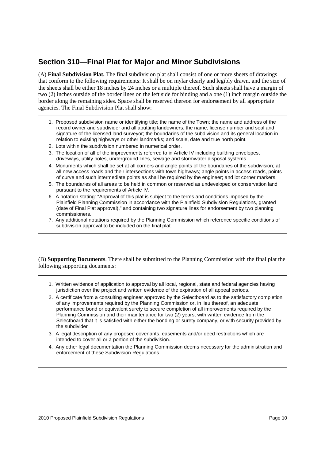# **Section 310—Final Plat for Major and Minor Subdivisions**

(A) **Final Subdivision Plat.** The final subdivision plat shall consist of one or more sheets of drawings that conform to the following requirements: It shall be on mylar clearly and legibly drawn. and the size of the sheets shall be either 18 inches by 24 inches or a multiple thereof. Such sheets shall have a margin of two (2) inches outside of the border lines on the left side for binding and a one (1) inch margin outside the border along the remaining sides. Space shall be reserved thereon for endorsement by all appropriate agencies. The Final Subdivision Plat shall show:

- 1. Proposed subdivision name or identifying title; the name of the Town; the name and address of the record owner and subdivider and all abutting landowners; the name, license number and seal and signature of the licensed land surveyor; the boundaries of the subdivision and its general location in relation to existing highways or other landmarks; and scale, date and true north point.
- 2. Lots within the subdivision numbered in numerical order.
- 3. The location of all of the improvements referred to in Article IV including building envelopes, driveways, utility poles, underground lines, sewage and stormwater disposal systems.
- 4. Monuments which shall be set at all corners and angle points of the boundaries of the subdivision; at all new access roads and their intersections with town highways; angle points in access roads, points of curve and such intermediate points as shall be required by the engineer; and lot corner markers.
- 5. The boundaries of all areas to be held in common or reserved as undeveloped or conservation land pursuant to the requirements of Article IV.
- 6. A notation stating: "Approval of this plat is subject to the terms and conditions imposed by the Plainfield Planning Commission in accordance with the Plainfield Subdivision Regulations, granted (date of Final Plat approval)," and containing two signature lines for endorsement by two planning commissioners.
- 7. Any additional notations required by the Planning Commission which reference specific conditions of subdivision approval to be included on the final plat.

(B) **Supporting Documents**. There shall be submitted to the Planning Commission with the final plat the following supporting documents:

- 1. Written evidence of application to approval by all local, regional, state and federal agencies having jurisdiction over the project and written evidence of the expiration of all appeal periods.
- 2. A certificate from a consulting engineer approved by the Selectboard as to the satisfactory completion of any improvements required by the Planning Commission or, in lieu thereof, an adequate performance bond or equivalent surety to secure completion of all improvements required by the Planning Commission and their maintenance for two (2) years, with written evidence from the Selectboard that it is satisfied with either the bonding or surety company, or with security provided by the subdivider
- 3. A legal description of any proposed covenants, easements and/or deed restrictions which are intended to cover all or a portion of the subdivision.
- 4. Any other legal documentation the Planning Commission deems necessary for the administration and enforcement of these Subdivision Regulations.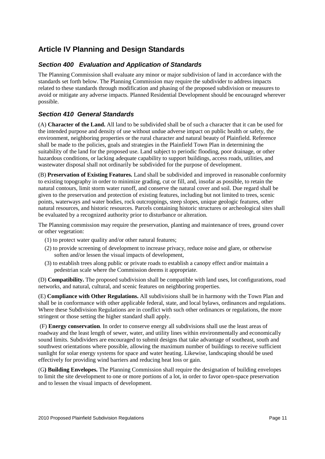# **Article IV Planning and Design Standards**

### **Section 400 Evaluation and Application of Standards**

The Planning Commission shall evaluate any minor or major subdivision of land in accordance with the standards set forth below. The Planning Commission may require the subdivider to address impacts related to these standards through modification and phasing of the proposed subdivision or measures to avoid or mitigate any adverse impacts. Planned Residential Development should be encouraged wherever possible.

### **Section 410 General Standards**

(A) **Character of the Land.** All land to be subdivided shall be of such a character that it can be used for the intended purpose and density of use without undue adverse impact on public health or safety, the environment, neighboring properties or the rural character and natural beauty of Plainfield. Reference shall be made to the policies, goals and strategies in the Plainfield Town Plan in determining the suitability of the land for the proposed use. Land subject to periodic flooding, poor drainage, or other hazardous conditions, or lacking adequate capability to support buildings, access roads, utilities, and wastewater disposal shall not ordinarily be subdivided for the purpose of development.

(B) **Preservation of Existing Features.** Land shall be subdivided and improved in reasonable conformity to existing topography in order to minimize grading, cut or fill, and, insofar as possible, to retain the natural contours, limit storm water runoff, and conserve the natural cover and soil. Due regard shall be given to the preservation and protection of existing features, including but not limited to trees, scenic points, waterways and water bodies, rock outcroppings, steep slopes, unique geologic features, other natural resources, and historic resources. Parcels containing historic structures or archeological sites shall be evaluated by a recognized authority prior to disturbance or alteration.

The Planning commission may require the preservation, planting and maintenance of trees, ground cover or other vegetation:

- (1) to protect water quality and/or other natural features;
- (2) to provide screening of development to increase privacy, reduce noise and glare, or otherwise soften and/or lessen the visual impacts of development,
- (3) to establish trees along public or private roads to establish a canopy effect and/or maintain a pedestrian scale where the Commission deems it appropriate.

(D) **Compatibility.** The proposed subdivision shall be compatible with land uses, lot configurations, road networks, and natural, cultural, and scenic features on neighboring properties.

(E) **Compliance with Other Regulations.** All subdivisions shall be in harmony with the Town Plan and shall be in conformance with other applicable federal, state, and local bylaws, ordinances and regulations. Where these Subdivision Regulations are in conflict with such other ordinances or regulations, the more stringent or those setting the higher standard shall apply.

 (F) **Energy conservation**. In order to conserve energy all subdivisions shall use the least areas of roadway and the least length of sewer, water, and utility lines within environmentally and economically sound limits. Subdividers are encouraged to submit designs that take advantage of southeast, south and southwest orientations where possible, allowing the maximum number of buildings to receive sufficient sunlight for solar energy systems for space and water heating. Likewise, landscaping should be used effectively for providing wind barriers and reducing heat loss or gain.

(G**) Building Envelopes.** The Planning Commission shall require the designation of building envelopes to limit the site development to one or more portions of a lot, in order to favor open-space preservation and to lessen the visual impacts of development.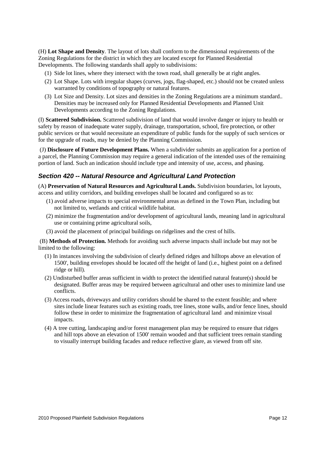(H) **Lot Shape and Density**. The layout of lots shall conform to the dimensional requirements of the Zoning Regulations for the district in which they are located except for Planned Residential Developments. The following standards shall apply to subdivisions:

- (1) Side lot lines, where they intersect with the town road, shall generally be at right angles.
- (2) Lot Shape. Lots with irregular shapes (curves, jogs, flag-shaped, etc.) should not be created unless warranted by conditions of topography or natural features.
- (3) Lot Size and Density. Lot sizes and densities in the Zoning Regulations are a minimum standard.. Densities may be increased only for Planned Residential Developments and Planned Unit Developments according to the Zoning Regulations.

(I) **Scattered Subdivision.** Scattered subdivision of land that would involve danger or injury to health or safety by reason of inadequate water supply, drainage, transportation, school, fire protection, or other public services or that would necessitate an expenditure of public funds for the supply of such services or for the upgrade of roads, may be denied by the Planning Commission.

 (J) **Disclosure of Future Development Plans.** When a subdivider submits an application for a portion of a parcel, the Planning Commission may require a general indication of the intended uses of the remaining portion of land. Such an indication should include type and intensity of use, access, and phasing.

#### **Section 420 -- Natural Resource and Agricultural Land Protection**

(A) **Preservation of Natural Resources and Agricultural Lands.** Subdivision boundaries, lot layouts, access and utility corridors, and building envelopes shall be located and configured so as to:

- (1) avoid adverse impacts to special environmental areas as defined in the Town Plan, including but not limited to, wetlands and critical wildlife habitat.
- (2) minimize the fragmentation and/or development of agricultural lands, meaning land in agricultural use or containing prime agricultural soils,
- (3) avoid the placement of principal buildings on ridgelines and the crest of hills.

 (B) **Methods of Protection.** Methods for avoiding such adverse impacts shall include but may not be limited to the following:

- (1) In instances involving the subdivision of clearly defined ridges and hilltops above an elevation of 1500', building envelopes should be located off the height of land (i.e., highest point on a defined ridge or hill).
- (2) Undisturbed buffer areas sufficient in width to protect the identified natural feature(s) should be designated. Buffer areas may be required between agricultural and other uses to minimize land use conflicts.
- (3) Access roads, driveways and utility corridors should be shared to the extent feasible; and where sites include linear features such as existing roads, tree lines, stone walls, and/or fence lines, should follow these in order to minimize the fragmentation of agricultural land and minimize visual impacts.
- (4) A tree cutting, landscaping and/or forest management plan may be required to ensure that ridges and hill tops above an elevation of 1500' remain wooded and that sufficient trees remain standing to visually interrupt building facades and reduce reflective glare, as viewed from off site.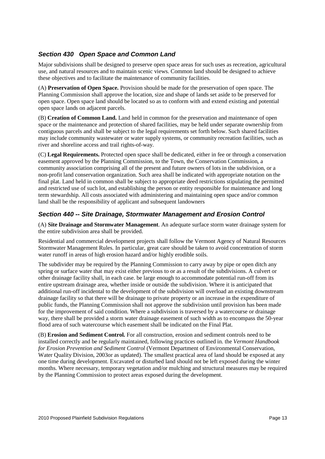### **Section 430 Open Space and Common Land**

Major subdivisions shall be designed to preserve open space areas for such uses as recreation, agricultural use, and natural resources and to maintain scenic views. Common land should be designed to achieve these objectives and to facilitate the maintenance of community facilities.

(A) **Preservation of Open Space.** Provision should be made for the preservation of open space. The Planning Commission shall approve the location, size and shape of lands set aside to be preserved for open space. Open space land should be located so as to conform with and extend existing and potential open space lands on adjacent parcels.

(B) **Creation of Common Land.** Land held in common for the preservation and maintenance of open space or the maintenance and protection of shared facilities, may be held under separate ownership from contiguous parcels and shall be subject to the legal requirements set forth below. Such shared facilities may include community wastewater or water supply systems, or community recreation facilities, such as river and shoreline access and trail rights-of-way.

(C) **Legal Requirements.** Protected open space shall be dedicated, either in fee or through a conservation easement approved by the Planning Commission, to the Town, the Conservation Commission, a community association comprising all of the present and future owners of lots in the subdivision, or a non-profit land conservation organization. Such area shall be indicated with appropriate notation on the final plat. Land held in common shall be subject to appropriate deed restrictions stipulating the permitted and restricted use of such lot, and establishing the person or entity responsible for maintenance and long term stewardship. All costs associated with administering and maintaining open space and/or common land shall be the responsibility of applicant and subsequent landowners

#### **Section 440 -- Site Drainage, Stormwater Management and Erosion Control**

(A) **Site Drainage and Stormwater Management**. An adequate surface storm water drainage system for the entire subdivision area shall be provided.

Residential and commercial development projects shall follow the Vermont Agency of Natural Resources Stormwater Management Rules. In particular, great care should be taken to avoid concentration of storm water runoff in areas of high erosion hazard and/or highly erodible soils.

The subdivider may be required by the Planning Commission to carry away by pipe or open ditch any spring or surface water that may exist either previous to or as a result of the subdivisions. A culvert or other drainage facility shall, in each case. be large enough to accommodate potential run-off from its entire upstream drainage area, whether inside or outside the subdivision. Where it is anticipated that additional run-off incidental to the development of the subdivision will overload an existing downstream drainage facility so that there will be drainage to private property or an increase in the expenditure of public funds, the Planning Commission shall not approve the subdivision until provision has been made for the improvement of said condition. Where a subdivision is traversed by a watercourse or drainage way, there shall be provided a storm water drainage easement of such width as to encompass the 50-year flood area of such watercourse which easement shall be indicated on the Final Plat.

(B) **Erosion and Sediment Control.** For all construction, erosion and sediment controls need to be installed correctly and be regularly maintained, following practices outlined in. the *Vermont Handbook for Erosion Prevention and Sediment Control* (Vermont Department of Environmental Conservation, Water Quality Division, 2003or as updated). The smallest practical area of land should be exposed at any one time during development. Excavated or disturbed land should not be left exposed during the winter months. Where necessary, temporary vegetation and/or mulching and structural measures may be required by the Planning Commission to protect areas exposed during the development.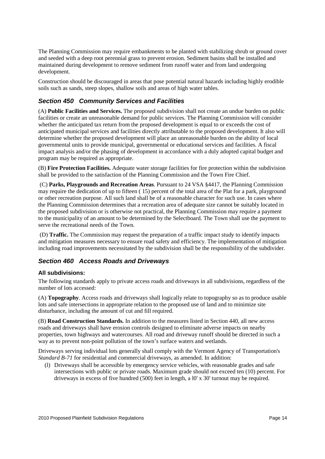The Planning Commission may require embankments to be planted with stabilizing shrub or ground cover and seeded with a deep root perennial grass to prevent erosion. Sediment basins shall be installed and maintained during development to remove sediment from runoff water and from land undergoing development.

Construction should be discouraged in areas that pose potential natural hazards including highly erodible soils such as sands, steep slopes, shallow soils and areas of high water tables.

#### **Section 450 Community Services and Facilities**

(A) **Public Facilities and Services.** The proposed subdivision shall not create an undue burden on public facilities or create an unreasonable demand for public services. The Planning Commission will consider whether the anticipated tax return from the proposed development is equal to or exceeds the cost of anticipated municipal services and facilities directly attributable to the proposed development. It also will determine whether the proposed development will place an unreasonable burden on the ability of local governmental units to provide municipal, governmental or educational services and facilities. A fiscal impact analysis and/or the phasing of development in accordance with a duly adopted capital budget and program may be required as appropriate.

(B) **Fire Protection Facilities.** Adequate water storage facilities for fire protection within the subdivision shall be provided to the satisfaction of the Planning Commission and the Town Fire Chief.

 (C) **Parks, Playgrounds and Recreation Areas**. Pursuant to 24 VSA §4417, the Planning Commission may require the dedication of up to fifteen ( 15) percent of the total area of the Plat for a park, playground or other recreation purpose. All such land shall be of a reasonable character for such use. In cases where the Planning Commission determines that a recreation area of adequate size cannot be suitably located in the proposed subdivision or is otherwise not practical, the Planning Commission may require a payment to the municipality of an amount to be determined by the Selectboard. The Town shall use the payment to serve the recreational needs of the Town.

 (D) **Traffic.** The Commission may request the preparation of a traffic impact study to identify impacts and mitigation measures necessary to ensure road safety and efficiency. The implementation of mitigation including road improvements necessitated by the subdivision shall be the responsibility of the subdivider.

#### **Section 460 Access Roads and Driveways**

#### **All subdivisions:**

The following standards apply to private access roads and driveways in all subdivisions, regardless of the number of lots accessed:

(A) **Topography**. Access roads and driveways shall logically relate to topography so as to produce usable lots and safe intersections in appropriate relation to the proposed use of land and to minimize site disturbance, including the amount of cut and fill required.

(B) **Road Construction Standards.** In addition to the measures listed in Section 440, all new access roads and driveways shall have erosion controls designed to eliminate adverse impacts on nearby properties, town highways and watercourses. All road and driveway runoff should be directed in such a way as to prevent non-point pollution of the town's surface waters and wetlands.

Driveways serving individual lots generally shall comply with the Vermont Agency of Transportation's *Standard B-71* for residential and commercial driveways, as amended. In addition:

(l) Driveways shall be accessible by emergency service vehicles, with reasonable grades and safe intersections with public or private roads. Maximum grade should not exceed ten (10) percent. For driveways in excess of five hundred (500) feet in length, a l0' x 30' turnout may be required.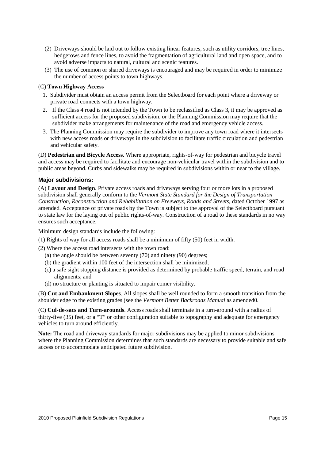- (2) Driveways should be laid out to follow existing linear features, such as utility corridors, tree lines, hedgerows and fence lines, to avoid the fragmentation of agricultural land and open space, and to avoid adverse impacts to natural, cultural and scenic features.
- (3) The use of common or shared driveways is encouraged and may be required in order to minimize the number of access points to town highways.

#### (C) **Town Highway Access**

- 1. Subdivider must obtain an access permit from the Selectboard for each point where a driveway or private road connects with a town highway.
- 2. If the Class 4 road is not intended by the Town to be reclassified as Class 3, it may be approved as sufficient access for the proposed subdivision, or the Planning Commission may require that the subdivider make arrangements for maintenance of the road and emergency vehicle access.
- 3. The Planning Commission may require the subdivider to improve any town road where it intersects with new access roads or driveways in the subdivision to facilitate traffic circulation and pedestrian and vehicular safety.

(D) **Pedestrian and Bicycle Access.** Where appropriate, rights-of-way for pedestrian and bicycle travel and access may be required to facilitate and encourage non-vehicular travel within the subdivision and to public areas beyond. Curbs and sidewalks may be required in subdivisions within or near to the village.

#### **Major subdivisions:**

(A) **Layout and Design**. Private access roads and driveways serving four or more lots in a proposed subdivision shall generally conform to the *Vermont State Standard for the Design of Transportation Construction, Reconstruction and Rehabilitation on Freeways, Roads and Streets*, dated October 1997 as amended. Acceptance of private roads by the Town is subject to the approval of the Selectboard pursuant to state law for the laying out of public rights-of-way. Construction of a road to these standards in no way ensures such acceptance.

Minimum design standards include the following:

- (1) Rights of way for all access roads shall be a minimum of fifty (50) feet in width.
- (2) Where the access road intersects with the town road:
	- (a) the angle should be between seventy (70) and ninety (90) degrees;
	- (b) the gradient within 100 feet of the intersection shall be minimized;
	- (c) a safe sight stopping distance is provided as determined by probable traffic speed, terrain, and road alignments; and
	- (d) no structure or planting is situated to impair comer visibility.

(B) **Cut and Embankment Slopes**. All slopes shall be well rounded to form a smooth transition from the shoulder edge to the existing grades (see the *Vermont Better Backroads Manual* as amended0.

(C) **Cul-de-sacs and Turn-arounds**. Access roads shall terminate in a turn-around with a radius of thirty-five (35) feet, or a "T" or other configuration suitable to topography and adequate for emergency vehicles to turn around efficiently.

**Note:** The road and driveway standards for major subdivisions may be applied to minor subdivisions where the Planning Commission determines that such standards are necessary to provide suitable and safe access or to accommodate anticipated future subdivision.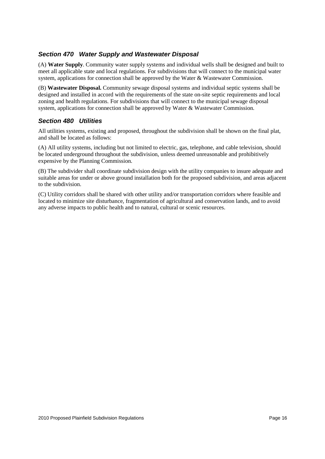#### **Section 470 Water Supply and Wastewater Disposal**

(A) **Water Supply**. Community water supply systems and individual wells shall be designed and built to meet all applicable state and local regulations. For subdivisions that will connect to the municipal water system, applications for connection shall be approved by the Water & Wastewater Commission.

(B) **Wastewater Disposal.** Community sewage disposal systems and individual septic systems shall be designed and installed in accord with the requirements of the state on-site septic requirements and local zoning and health regulations. For subdivisions that will connect to the municipal sewage disposal system, applications for connection shall be approved by Water & Wastewater Commission.

#### **Section 480 Utilities**

All utilities systems, existing and proposed, throughout the subdivision shall be shown on the final plat, and shall be located as follows:

(A) All utility systems, including but not limited to electric, gas, telephone, and cable television, should be located underground throughout the subdivision, unless deemed unreasonable and prohibitively expensive by the Planning Commission.

(B) The subdivider shall coordinate subdivision design with the utility companies to insure adequate and suitable areas for under or above ground installation both for the proposed subdivision, and areas adjacent to the subdivision.

(C) Utility corridors shall be shared with other utility and/or transportation corridors where feasible and located to minimize site disturbance, fragmentation of agricultural and conservation lands, and to avoid any adverse impacts to public health and to natural, cultural or scenic resources.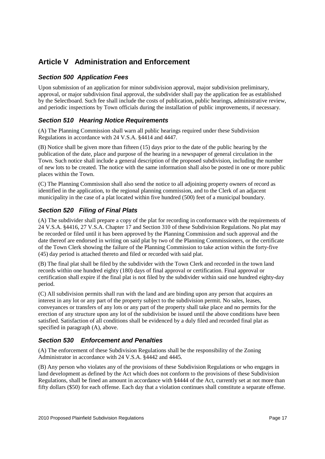# **Article V Administration and Enforcement**

#### **Section 500 Application Fees**

Upon submission of an application for minor subdivision approval, major subdivision preliminary, approval, or major subdivision final approval, the subdivider shall pay the application fee as established by the Selectboard. Such fee shall include the costs of publication, public hearings, administrative review, and periodic inspections by Town officials during the installation of public improvements, if necessary.

#### **Section 510 Hearing Notice Requirements**

(A) The Planning Commission shall warn all public hearings required under these Subdivision Regulations in accordance with 24 V.S.A. §4414 and 4447.

(B) Notice shall be given more than fifteen (15) days prior to the date of the public hearing by the publication of the date, place and purpose of the hearing in a newspaper of general circulation in the Town. Such notice shall include a general description of the proposed subdivision, including the number of new lots to be created. The notice with the same information shall also be posted in one or more public places within the Town.

(C) The Planning Commission shall also send the notice to all adjoining property owners of record as identified in the application, to the regional planning commission, and to the Clerk of an adjacent municipality in the case of a plat located within five hundred (500) feet of a municipal boundary.

### **Section 520 Filing of Final Plats**

(A) The subdivider shall prepare a copy of the plat for recording in conformance with the requirements of 24 V.S.A. §4416, 27 V.S.A. Chapter 17 and Section 310 of these Subdivision Regulations. No plat may be recorded or filed until it has been approved by the Planning Commission and such approval and the date thereof are endorsed in writing on said plat by two of the Planning Commissioners, or the certificate of the Town Clerk showing the failure of the Planning Commission to take action within the forty-five (45) day period is attached thereto and filed or recorded with said plat.

(B) The final plat shall be filed by the subdivider with the Town Clerk and recorded in the town land records within one hundred eighty (180) days of final approval or certification. Final approval or certification shall expire if the final plat is not filed by the subdivider within said one hundred eighty-day period.

(C) All subdivision permits shall run with the land and are binding upon any person that acquires an interest in any lot or any part of the property subject to the subdivision permit. No sales, leases, conveyances or transfers of any lots or any part of the property shall take place and no permits for the erection of any structure upon any lot of the subdivision be issued until the above conditions have been satisfied. Satisfaction of all conditions shall be evidenced by a duly filed and recorded final plat as specified in paragraph (A), above.

#### **Section 530 Enforcement and Penalties**

(A) The enforcement of these Subdivision Regulations shall be the responsibility of the Zoning Administrator in accordance with 24 V.S.A. §4442 and 4445.

(B) Any person who violates any of the provisions of these Subdivision Regulations or who engages in land development as defined by the Act which does not conform to the provisions of these Subdivision Regulations, shall be fined an amount in accordance with §4444 of the Act, currently set at not more than fifty dollars (\$50) for each offense. Each day that a violation continues shall constitute a separate offense.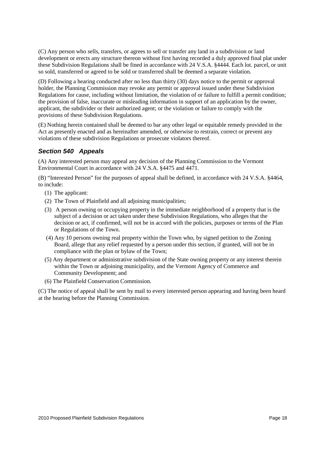(C) Any person who sells, transfers, or agrees to sell or transfer any land in a subdivision or land development or erects any structure thereon without first having recorded a duly approved final plat under these Subdivision Regulations shall be fined in accordance with 24 V.S.A. §4444. Each lot. parcel, or unit so sold, transferred or agreed to be sold or transferred shall be deemed a separate violation.

(D) Following a hearing conducted after no less than thirty (30) days notice to the permit or approval holder, the Planning Commission may revoke any permit or approval issued under these Subdivision Regulations for cause, including without limitation, the violation of or failure to fulfill a permit condition; the provision of false, inaccurate or misleading information in support of an application by the owner, applicant, the subdivider or their authorized agent; or the violation or failure to comply with the provisions of these Subdivision Regulations.

(E) Nothing herein contained shall be deemed to bar any other legal or equitable remedy provided in the Act as presently enacted and as hereinafter amended, or otherwise to restrain, correct or prevent any violations of these subdivision Regulations or prosecute violators thereof.

### **Section 540 Appeals**

(A) Any interested person may appeal any decision of the Planning Commission to the Vermont Environmental Court in accordance with 24 V.S.A. §4475 and 4471.

(B) "Interested Person" for the purposes of appeal shall be defined, in accordance with 24 V.S.A. §4464, to include:

- (1) The applicant:
- (2) The Town of Plainfield and all adjoining municipalities;
- (3) A person owning or occupying property in the immediate neighborhood of a property that is the subject of a decision or act taken under these Subdivision Regulations, who alleges that the decision or act, if confirmed, will not be in accord with the policies, purposes or terms of the Plan or Regulations of the Town.
- (4) Any 10 persons owning real property within the Town who, by signed petition to the Zoning Board, allege that any relief requested by a person under this section, if granted, will not be in compliance with the plan or bylaw of the Town;
- (5) Any department or administrative subdivision of the State owning property or any interest therein within the Town or adjoining municipality, and the Vermont Agency of Commerce and Community Development; and
- (6) The Plainfield Conservation Commission.

(C) The notice of appeal shall be sent by mail to every interested person appearing and having been heard at the hearing before the Planning Commission.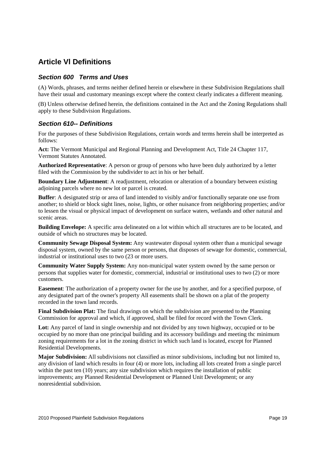# **Article Vl Definitions**

#### **Section 600 Terms and Uses**

(A) Words, phrases, and terms neither defined herein or elsewhere in these Subdivision Regulations shall have their usual and customary meanings except where the context clearly indicates a different meaning.

(B) Unless otherwise defined herein, the definitions contained in the Act and the Zoning Regulations shall apply to these Subdivision Regulations.

#### **Section 610-- Definitions**

For the purposes of these Subdivision Regulations, certain words and terms herein shall be interpreted as follows:

**Act:** The Vermont Municipal and Regional Planning and Development Act, Title 24 Chapter 117, Vermont Statutes Annotated.

**Authorized Representative**: A person or group of persons who have been duly authorized by a letter filed with the Commission by the subdivider to act in his or her behalf.

**Boundary Line Adjustment**: A readjustment, relocation or alteration of a boundary between existing adioining parcels where no new lot or parcel is created.

**Buffer**: A designated strip or area of land intended to visibly and/or functionally separate one use from another; to shield or block sight lines, noise, lights, or other nuisance from neighboring properties; and/or to lessen the visual or physical impact of development on surface waters, wetlands and other natural and scenic areas.

**Building Envelope:** A specific area delineated on a lot within which all structures are to be located, and outside of which no structures may be located.

**Community Sewage Disposal System:** Any wastewater disposal system other than a municipal sewage disposal system, owned by the same person or persons, that disposes of sewage for domestic, commercial, industrial or institutional uses to two (23 or more users.

**Community Water Supply System:** Any non-municipal water system owned by the same person or persons that supplies water for domestic, commercial, industrial or institutional uses to two (2) or more customers.

**Easement**: The authorization of a property owner for the use by another, and for a specified purpose, of any designated part of the owner's property All easements shal1 be shown on a plat of the property recorded in the town land records.

**Final Subdivision Plat:** The final drawings on which the subdivision are presented to the Planning Commission for approval and which, if approved, shall be filed for record with the Town Clerk.

**Lot:** Any parcel of land in single ownership and not divided by any town highway, occupied or to be occupied by no more than one principal building and its accessory buildings and meeting thc minimum zoning requirements for a lot in the zoning district in which such land is located, except for Planned Residential Developments.

**Major Subdivision:** All subdivisions not classified as minor subdivisions, including but not limited to, any division of land which results in four (4) or more lots, including all lots created from a single parcel within the past ten (10) years; any size subdivision which requires the installation of public improvements; any Planned Residential Development or Planned Unit Development; or any nonresidential subdivision.